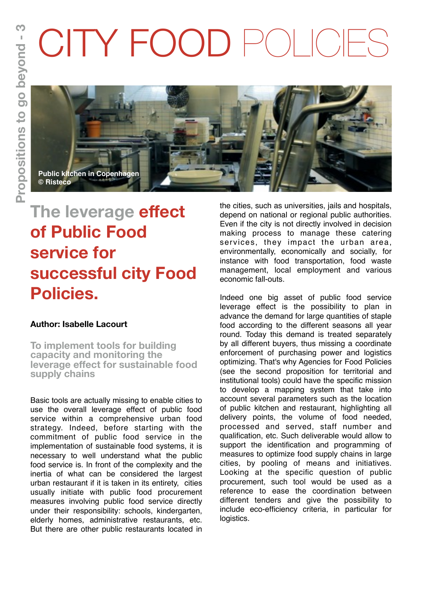## CITY FOOD POLICIES



## **The leverage effect of Public Food service for successful city Food Policies.**

## **Author: Isabelle Lacourt**

**To implement tools for building capacity and monitoring the leverage effect for sustainable food supply chains**

Basic tools are actually missing to enable cities to use the overall leverage effect of public food service within a comprehensive urban food strategy. Indeed, before starting with the commitment of public food service in the implementation of sustainable food systems, it is necessary to well understand what the public food service is. In front of the complexity and the inertia of what can be considered the largest urban restaurant if it is taken in its entirety, cities usually initiate with public food procurement measures involving public food service directly under their responsibility: schools, kindergarten, elderly homes, administrative restaurants, etc. But there are other public restaurants located in

the cities, such as universities, jails and hospitals, depend on national or regional public authorities. Even if the city is not directly involved in decision making process to manage these catering services, they impact the urban area, environmentally, economically and socially, for instance with food transportation, food waste management, local employment and various economic fall-outs.

Indeed one big asset of public food service leverage effect is the possibility to plan in advance the demand for large quantities of staple food according to the different seasons all year round. Today this demand is treated separately by all different buyers, thus missing a coordinate enforcement of purchasing power and logistics optimizing. That's why Agencies for Food Policies (see the second proposition for territorial and institutional tools) could have the specific mission to develop a mapping system that take into account several parameters such as the location of public kitchen and restaurant, highlighting all delivery points, the volume of food needed, processed and served, staff number and qualification, etc. Such deliverable would allow to support the identification and programming of measures to optimize food supply chains in large cities, by pooling of means and initiatives. Looking at the specific question of public procurement, such tool would be used as a reference to ease the coordination between different tenders and give the possibility to include eco-efficiency criteria, in particular for logistics.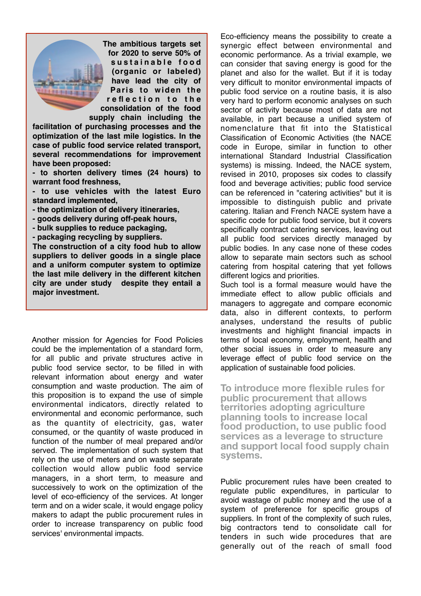

**The ambitious targets set for 2020 to serve 50% of s u s t a i n a b l e f o o d (organic or labeled) have lead the city of Paris to widen the r e fl e c t i o n t o t h e consolidation of the food supply chain including the** 

**facilitation of purchasing processes and the optimization of the last mile logistics. In the case of public food service related transport, several recommendations for improvement have been proposed:**

**- to shorten delivery times (24 hours) to warrant food freshness,**

**- to use vehicles with the latest Euro standard implemented,**

- **the optimization of delivery itineraries,**
- **goods delivery during off-peak hours,**
- **bulk supplies to reduce packaging,**

**- packaging recycling by suppliers.**

**The construction of a city food hub to allow suppliers to deliver goods in a single place and a uniform computer system to optimize the last mile delivery in the different kitchen city are under study despite they entail a major investment.** 

Another mission for Agencies for Food Policies could be the implementation of a standard form, for all public and private structures active in public food service sector, to be filled in with relevant information about energy and water consumption and waste production. The aim of this proposition is to expand the use of simple environmental indicators, directly related to environmental and economic performance, such as the quantity of electricity, gas, water consumed, or the quantity of waste produced in function of the number of meal prepared and/or served. The implementation of such system that rely on the use of meters and on waste separate collection would allow public food service managers, in a short term, to measure and successively to work on the optimization of the level of eco-efficiency of the services. At longer term and on a wider scale, it would engage policy makers to adapt the public procurement rules in order to increase transparency on public food services' environmental impacts.

Eco-efficiency means the possibility to create a synergic effect between environmental and economic performance. As a trivial example, we can consider that saving energy is good for the planet and also for the wallet. But if it is today very difficult to monitor environmental impacts of public food service on a routine basis, it is also very hard to perform economic analyses on such sector of activity because most of data are not available, in part because a unified system of nomenclature that fit into the Statistical Classification of Economic Activities (the NACE code in Europe, similar in function to other international Standard Industrial Classification systems) is missing. Indeed, the NACE system, revised in 2010, proposes six codes to classify food and beverage activities; public food service can be referenced in "catering activities" but it is impossible to distinguish public and private catering. Italian and French NACE system have a specific code for public food service, but it covers specifically contract catering services, leaving out all public food services directly managed by public bodies. In any case none of these codes allow to separate main sectors such as school catering from hospital catering that yet follows different logics and priorities.

Such tool is a formal measure would have the immediate effect to allow public officials and managers to aggregate and compare economic data, also in different contexts, to perform analyses, understand the results of public investments and highlight financial impacts in terms of local economy, employment, health and other social issues in order to measure any leverage effect of public food service on the application of sustainable food policies.

**To introduce more flexible rules for public procurement that allows territories adopting agriculture planning tools to increase local food production, to use public food services as a leverage to structure and support local food supply chain systems.** 

Public procurement rules have been created to regulate public expenditures, in particular to avoid wastage of public money and the use of a system of preference for specific groups of suppliers. In front of the complexity of such rules, big contractors tend to consolidate call for tenders in such wide procedures that are generally out of the reach of small food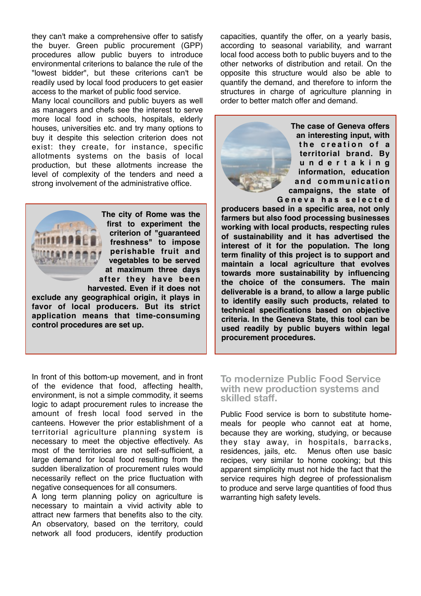they can't make a comprehensive offer to satisfy the buyer. Green public procurement (GPP) procedures allow public buyers to introduce environmental criterions to balance the rule of the "lowest bidder", but these criterions can't be readily used by local food producers to get easier access to the market of public food service.

Many local councillors and public buyers as well as managers and chefs see the interest to serve more local food in schools, hospitals, elderly houses, universities etc. and try many options to buy it despite this selection criterion does not exist: they create, for instance, specific allotments systems on the basis of local production, but these allotments increase the level of complexity of the tenders and need a strong involvement of the administrative office.



**The city of Rome was the first to experiment the criterion of "guaranteed freshness" to impose perishable fruit and vegetables to be served at maximum three days after they have been harvested. Even if it does not** 

**exclude any geographical origin, it plays in favor of local producers. But its strict application means that time-consuming control procedures are set up.** 

In front of this bottom-up movement, and in front of the evidence that food, affecting health, environment, is not a simple commodity, it seems logic to adapt procurement rules to increase the amount of fresh local food served in the canteens. However the prior establishment of a territorial agriculture planning system is necessary to meet the objective effectively. As most of the territories are not self-sufficient, a large demand for local food resulting from the sudden liberalization of procurement rules would necessarily reflect on the price fluctuation with negative consequences for all consumers.

A long term planning policy on agriculture is necessary to maintain a vivid activity able to attract new farmers that benefits also to the city. An observatory, based on the territory, could network all food producers, identify production

capacities, quantify the offer, on a yearly basis, according to seasonal variability, and warrant local food access both to public buyers and to the other networks of distribution and retail. On the opposite this structure would also be able to quantify the demand, and therefore to inform the structures in charge of agriculture planning in order to better match offer and demand.



**The case of Geneva offers an interesting input, with**  the creation of a **territorial brand. By u n d e r t a k i n g information, education a n d c o m m u n i c a t i o n campaigns, the state of**  Geneva has selected

**producers based in a specific area, not only farmers but also food processing businesses working with local products, respecting rules of sustainability and it has advertised the interest of it for the population. The long term finality of this project is to support and maintain a local agriculture that evolves towards more sustainability by influencing the choice of the consumers. The main deliverable is a brand, to allow a large public to identify easily such products, related to technical specifications based on objective criteria. In the Geneva State, this tool can be used readily by public buyers within legal procurement procedures.** 

## **To modernize Public Food Service with new production systems and skilled staff.**

Public Food service is born to substitute homemeals for people who cannot eat at home, because they are working, studying, or because they stay away, in hospitals, barracks, residences, jails, etc. Menus often use basic recipes, very similar to home cooking; but this apparent simplicity must not hide the fact that the service requires high degree of professionalism to produce and serve large quantities of food thus warranting high safety levels.